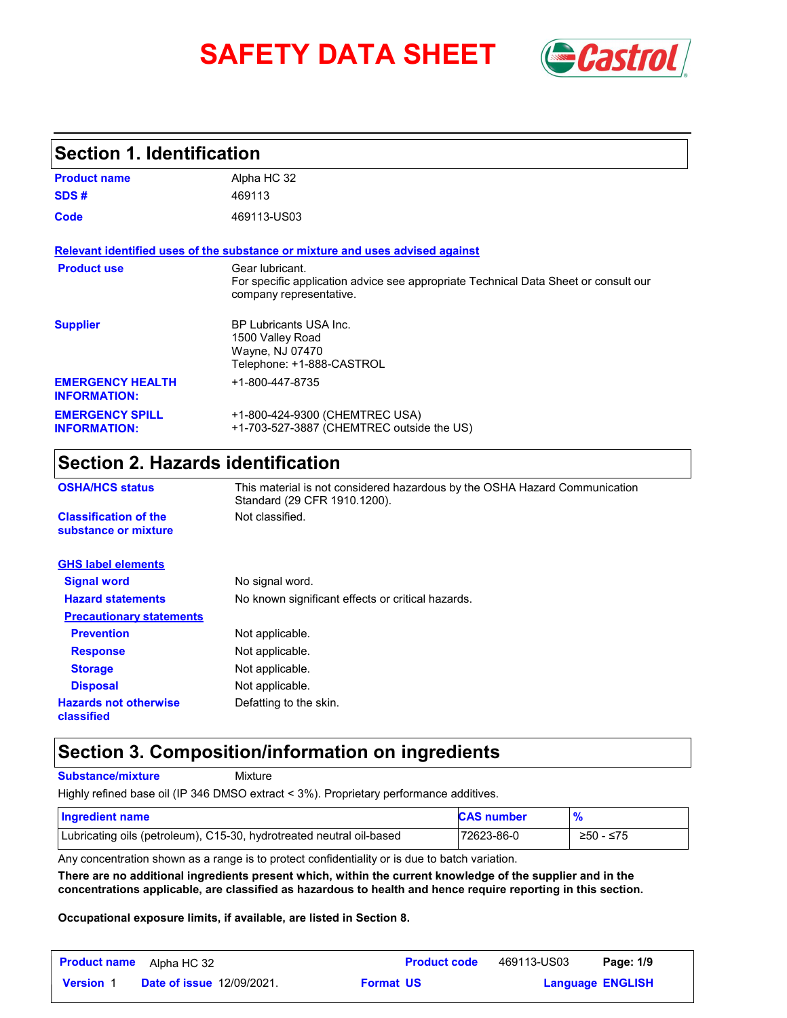# **SAFETY DATA SHEET** *Castrol*



#### **Section 1. Identification**

| <b>Product name</b>                            | Alpha HC 32                                                                                                                       |
|------------------------------------------------|-----------------------------------------------------------------------------------------------------------------------------------|
| SDS#                                           | 469113                                                                                                                            |
| Code                                           | 469113-US03                                                                                                                       |
|                                                | Relevant identified uses of the substance or mixture and uses advised against                                                     |
| <b>Product use</b>                             | Gear lubricant.<br>For specific application advice see appropriate Technical Data Sheet or consult our<br>company representative. |
| <b>Supplier</b>                                | <b>BP Lubricants USA Inc.</b><br>1500 Valley Road<br>Wayne, NJ 07470<br>Telephone: +1-888-CASTROL                                 |
| <b>EMERGENCY HEALTH</b><br><b>INFORMATION:</b> | +1-800-447-8735                                                                                                                   |
| <b>EMERGENCY SPILL</b><br><b>INFORMATION:</b>  | +1-800-424-9300 (CHEMTREC USA)<br>+1-703-527-3887 (CHEMTREC outside the US)                                                       |

### **Section 2. Hazards identification**

| <b>OSHA/HCS status</b>                               | This material is not considered hazardous by the OSHA Hazard Communication<br>Standard (29 CFR 1910.1200). |
|------------------------------------------------------|------------------------------------------------------------------------------------------------------------|
| <b>Classification of the</b><br>substance or mixture | Not classified.                                                                                            |
| <b>GHS label elements</b>                            |                                                                                                            |
| <b>Signal word</b>                                   | No signal word.                                                                                            |
| <b>Hazard statements</b>                             | No known significant effects or critical hazards.                                                          |
| <b>Precautionary statements</b>                      |                                                                                                            |
| <b>Prevention</b>                                    | Not applicable.                                                                                            |
| <b>Response</b>                                      | Not applicable.                                                                                            |
| <b>Storage</b>                                       | Not applicable.                                                                                            |
| <b>Disposal</b>                                      | Not applicable.                                                                                            |
| <b>Hazards not otherwise</b><br>classified           | Defatting to the skin.                                                                                     |

#### **Section 3. Composition/information on ingredients**

**Substance/mixture**

Mixture

Highly refined base oil (IP 346 DMSO extract < 3%). Proprietary performance additives.

| Ingredient name                                                      | <b>CAS number</b> | $\frac{9}{6}$ |
|----------------------------------------------------------------------|-------------------|---------------|
| Lubricating oils (petroleum), C15-30, hydrotreated neutral oil-based | 72623-86-0        | $≥50 - ≤75$   |

Any concentration shown as a range is to protect confidentiality or is due to batch variation.

**There are no additional ingredients present which, within the current knowledge of the supplier and in the concentrations applicable, are classified as hazardous to health and hence require reporting in this section.**

**Occupational exposure limits, if available, are listed in Section 8.**

| <b>Product name</b> | Alpha HC 32                      |                  | <b>Product code</b> | 469113-US03 | Page: 1/9               |  |
|---------------------|----------------------------------|------------------|---------------------|-------------|-------------------------|--|
| <b>Version 1</b>    | <b>Date of issue 12/09/2021.</b> | <b>Format US</b> |                     |             | <b>Language ENGLISH</b> |  |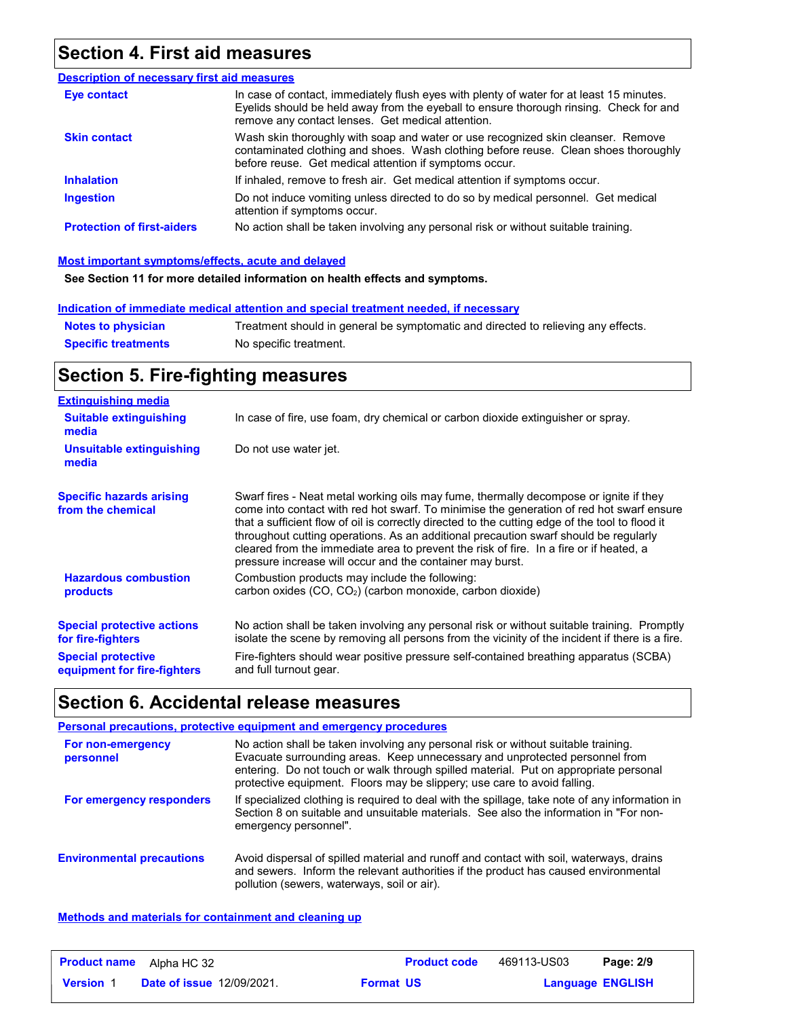#### **Section 4. First aid measures**

| <b>Description of necessary first aid measures</b> |                                                                                                                                                                                                                                         |
|----------------------------------------------------|-----------------------------------------------------------------------------------------------------------------------------------------------------------------------------------------------------------------------------------------|
| Eye contact                                        | In case of contact, immediately flush eyes with plenty of water for at least 15 minutes.<br>Eyelids should be held away from the eyeball to ensure thorough rinsing. Check for and<br>remove any contact lenses. Get medical attention. |
| <b>Skin contact</b>                                | Wash skin thoroughly with soap and water or use recognized skin cleanser. Remove<br>contaminated clothing and shoes. Wash clothing before reuse. Clean shoes thoroughly<br>before reuse. Get medical attention if symptoms occur.       |
| <b>Inhalation</b>                                  | If inhaled, remove to fresh air. Get medical attention if symptoms occur.                                                                                                                                                               |
| <b>Ingestion</b>                                   | Do not induce vomiting unless directed to do so by medical personnel. Get medical<br>attention if symptoms occur.                                                                                                                       |
| <b>Protection of first-aiders</b>                  | No action shall be taken involving any personal risk or without suitable training.                                                                                                                                                      |

#### **Most important symptoms/effects, acute and delayed**

**See Section 11 for more detailed information on health effects and symptoms.**

#### **Indication of immediate medical attention and special treatment needed, if necessary**

| <b>Notes to physician</b>  | Treatment should in general be symptomatic and directed to relieving any effects. |
|----------------------------|-----------------------------------------------------------------------------------|
| <b>Specific treatments</b> | No specific treatment.                                                            |

### **Section 5. Fire-fighting measures**

| <b>Extinguishing media</b>                                                                                         |                                                                                                                                                                                                                                                                                                                                                                                                                                                                                                                                     |
|--------------------------------------------------------------------------------------------------------------------|-------------------------------------------------------------------------------------------------------------------------------------------------------------------------------------------------------------------------------------------------------------------------------------------------------------------------------------------------------------------------------------------------------------------------------------------------------------------------------------------------------------------------------------|
| <b>Suitable extinguishing</b><br>media                                                                             | In case of fire, use foam, dry chemical or carbon dioxide extinguisher or spray.                                                                                                                                                                                                                                                                                                                                                                                                                                                    |
| Unsuitable extinguishing<br>media                                                                                  | Do not use water jet.                                                                                                                                                                                                                                                                                                                                                                                                                                                                                                               |
| <b>Specific hazards arising</b><br>from the chemical                                                               | Swarf fires - Neat metal working oils may fume, thermally decompose or ignite if they<br>come into contact with red hot swarf. To minimise the generation of red hot swarf ensure<br>that a sufficient flow of oil is correctly directed to the cutting edge of the tool to flood it<br>throughout cutting operations. As an additional precaution swarf should be regularly<br>cleared from the immediate area to prevent the risk of fire. In a fire or if heated, a<br>pressure increase will occur and the container may burst. |
| <b>Hazardous combustion</b><br>products                                                                            | Combustion products may include the following:<br>carbon oxides (CO, CO <sub>2</sub> ) (carbon monoxide, carbon dioxide)                                                                                                                                                                                                                                                                                                                                                                                                            |
| <b>Special protective actions</b><br>for fire-fighters<br><b>Special protective</b><br>equipment for fire-fighters | No action shall be taken involving any personal risk or without suitable training. Promptly<br>isolate the scene by removing all persons from the vicinity of the incident if there is a fire.<br>Fire-fighters should wear positive pressure self-contained breathing apparatus (SCBA)<br>and full turnout gear.                                                                                                                                                                                                                   |

#### **Section 6. Accidental release measures**

|                                  | Personal precautions, protective equipment and emergency procedures                                                                                                                                                                                                                                                                   |
|----------------------------------|---------------------------------------------------------------------------------------------------------------------------------------------------------------------------------------------------------------------------------------------------------------------------------------------------------------------------------------|
| For non-emergency<br>personnel   | No action shall be taken involving any personal risk or without suitable training.<br>Evacuate surrounding areas. Keep unnecessary and unprotected personnel from<br>entering. Do not touch or walk through spilled material. Put on appropriate personal<br>protective equipment. Floors may be slippery; use care to avoid falling. |
| For emergency responders         | If specialized clothing is required to deal with the spillage, take note of any information in<br>Section 8 on suitable and unsuitable materials. See also the information in "For non-<br>emergency personnel".                                                                                                                      |
| <b>Environmental precautions</b> | Avoid dispersal of spilled material and runoff and contact with soil, waterways, drains<br>and sewers. Inform the relevant authorities if the product has caused environmental<br>pollution (sewers, waterways, soil or air).                                                                                                         |

#### **Methods and materials for containment and cleaning up**

| <b>Product name</b> | Alpha HC 32                      | <b>Product code</b> | 469113-US03 | Page: 2/9               |
|---------------------|----------------------------------|---------------------|-------------|-------------------------|
| <b>Version 1</b>    | <b>Date of issue 12/09/2021.</b> | <b>Format US</b>    |             | <b>Language ENGLISH</b> |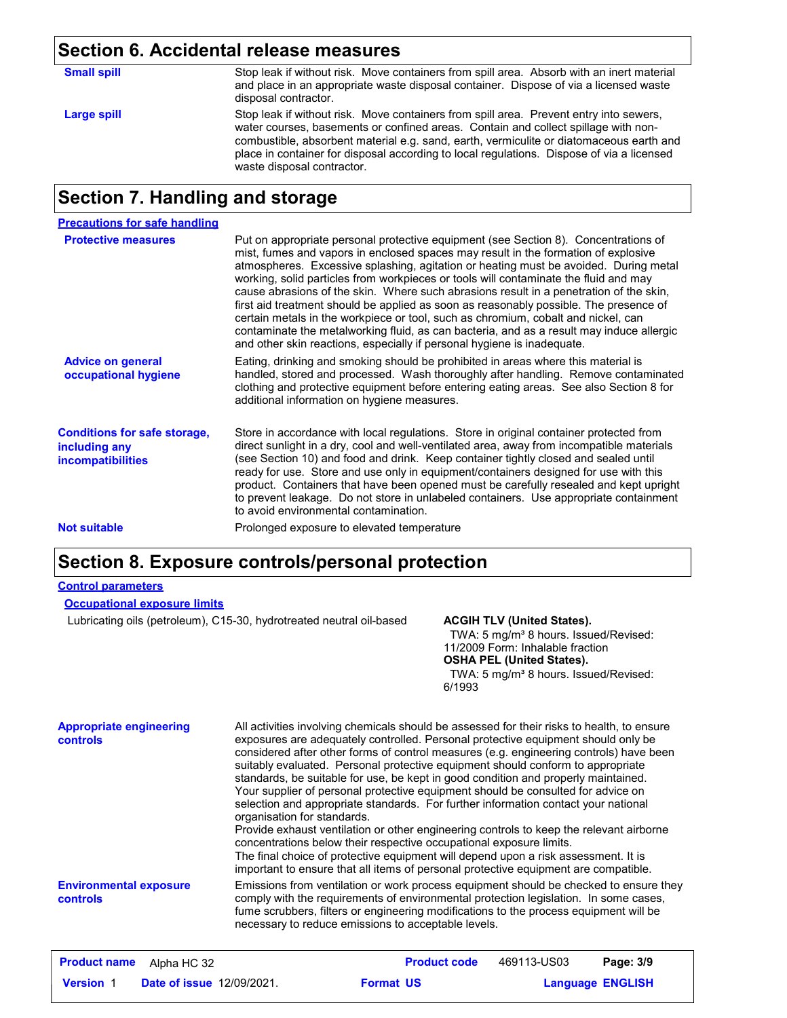### **Section 6. Accidental release measures**

| <b>Small spill</b> | Stop leak if without risk. Move containers from spill area. Absorb with an inert material<br>and place in an appropriate waste disposal container. Dispose of via a licensed waste<br>disposal contractor.                                                                                                                                                                                         |
|--------------------|----------------------------------------------------------------------------------------------------------------------------------------------------------------------------------------------------------------------------------------------------------------------------------------------------------------------------------------------------------------------------------------------------|
| Large spill        | Stop leak if without risk. Move containers from spill area. Prevent entry into sewers,<br>water courses, basements or confined areas. Contain and collect spillage with non-<br>combustible, absorbent material e.g. sand, earth, vermiculite or diatomaceous earth and<br>place in container for disposal according to local regulations. Dispose of via a licensed<br>waste disposal contractor. |

#### **Section 7. Handling and storage**

| <b>Precautions for safe handling</b>                                             |                                                                                                                                                                                                                                                                                                                                                                                                                                                                                                                                                                                                                                                                                                                                                                                                          |
|----------------------------------------------------------------------------------|----------------------------------------------------------------------------------------------------------------------------------------------------------------------------------------------------------------------------------------------------------------------------------------------------------------------------------------------------------------------------------------------------------------------------------------------------------------------------------------------------------------------------------------------------------------------------------------------------------------------------------------------------------------------------------------------------------------------------------------------------------------------------------------------------------|
| <b>Protective measures</b>                                                       | Put on appropriate personal protective equipment (see Section 8). Concentrations of<br>mist, fumes and vapors in enclosed spaces may result in the formation of explosive<br>atmospheres. Excessive splashing, agitation or heating must be avoided. During metal<br>working, solid particles from workpieces or tools will contaminate the fluid and may<br>cause abrasions of the skin. Where such abrasions result in a penetration of the skin,<br>first aid treatment should be applied as soon as reasonably possible. The presence of<br>certain metals in the workpiece or tool, such as chromium, cobalt and nickel, can<br>contaminate the metalworking fluid, as can bacteria, and as a result may induce allergic<br>and other skin reactions, especially if personal hygiene is inadequate. |
| <b>Advice on general</b><br>occupational hygiene                                 | Eating, drinking and smoking should be prohibited in areas where this material is<br>handled, stored and processed. Wash thoroughly after handling. Remove contaminated<br>clothing and protective equipment before entering eating areas. See also Section 8 for<br>additional information on hygiene measures.                                                                                                                                                                                                                                                                                                                                                                                                                                                                                         |
| <b>Conditions for safe storage,</b><br>including any<br><i>incompatibilities</i> | Store in accordance with local regulations. Store in original container protected from<br>direct sunlight in a dry, cool and well-ventilated area, away from incompatible materials<br>(see Section 10) and food and drink. Keep container tightly closed and sealed until<br>ready for use. Store and use only in equipment/containers designed for use with this<br>product. Containers that have been opened must be carefully resealed and kept upright<br>to prevent leakage. Do not store in unlabeled containers. Use appropriate containment<br>to avoid environmental contamination.                                                                                                                                                                                                            |
| <b>Not suitable</b>                                                              | Prolonged exposure to elevated temperature                                                                                                                                                                                                                                                                                                                                                                                                                                                                                                                                                                                                                                                                                                                                                               |

#### **Section 8. Exposure controls/personal protection**

#### **Control parameters**

| <b>Occupational exposure limits</b> |  |
|-------------------------------------|--|
|-------------------------------------|--|

Lubricating oils (petroleum), C15-30, hydrotreated neutral oil-based **ACGIH TLV (United States).**

TWA: 5 mg/m<sup>3</sup> 8 hours. Issued/Revised: 11/2009 Form: Inhalable fraction **OSHA PEL (United States).**

TWA: 5 mg/m<sup>3</sup> 8 hours. Issued/Revised: 6/1993

| <b>Appropriate engineering</b><br>controls | All activities involving chemicals should be assessed for their risks to health, to ensure<br>exposures are adequately controlled. Personal protective equipment should only be<br>considered after other forms of control measures (e.g. engineering controls) have been<br>suitably evaluated. Personal protective equipment should conform to appropriate<br>standards, be suitable for use, be kept in good condition and properly maintained.<br>Your supplier of personal protective equipment should be consulted for advice on<br>selection and appropriate standards. For further information contact your national<br>organisation for standards.<br>Provide exhaust ventilation or other engineering controls to keep the relevant airborne<br>concentrations below their respective occupational exposure limits.<br>The final choice of protective equipment will depend upon a risk assessment. It is<br>important to ensure that all items of personal protective equipment are compatible. |
|--------------------------------------------|------------------------------------------------------------------------------------------------------------------------------------------------------------------------------------------------------------------------------------------------------------------------------------------------------------------------------------------------------------------------------------------------------------------------------------------------------------------------------------------------------------------------------------------------------------------------------------------------------------------------------------------------------------------------------------------------------------------------------------------------------------------------------------------------------------------------------------------------------------------------------------------------------------------------------------------------------------------------------------------------------------|
| <b>Environmental exposure</b><br>controls  | Emissions from ventilation or work process equipment should be checked to ensure they<br>comply with the requirements of environmental protection legislation. In some cases,<br>fume scrubbers, filters or engineering modifications to the process equipment will be<br>necessary to reduce emissions to acceptable levels.                                                                                                                                                                                                                                                                                                                                                                                                                                                                                                                                                                                                                                                                              |

|                  | <b>Product name</b> Alpha HC 32  |                  | <b>Product code</b> | 469113-US03 | Page: 3/9               |
|------------------|----------------------------------|------------------|---------------------|-------------|-------------------------|
| <b>Version 1</b> | <b>Date of issue 12/09/2021.</b> | <b>Format US</b> |                     |             | <b>Language ENGLISH</b> |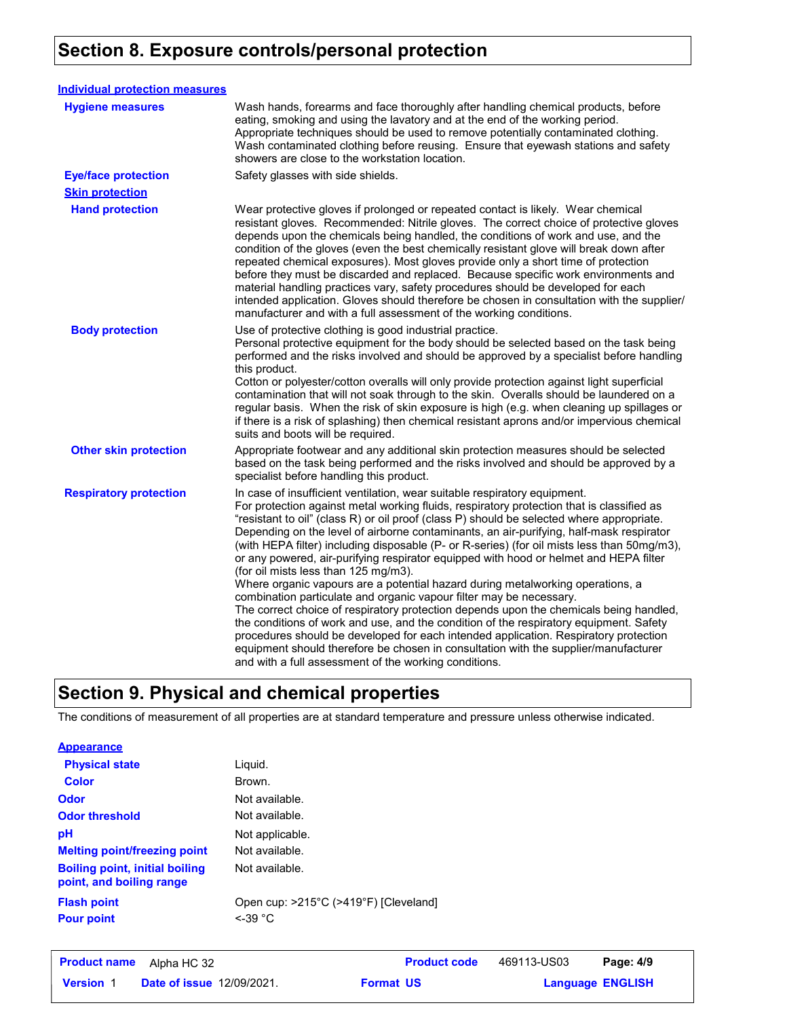### **Section 8. Exposure controls/personal protection**

| <b>Individual protection measures</b> |                                                                                                                                                                                                                                                                                                                                                                                                                                                                                                                                                                                                                                                                                                                                                                                                                                                                                                                                                                                                                                                                                                                                                                                     |
|---------------------------------------|-------------------------------------------------------------------------------------------------------------------------------------------------------------------------------------------------------------------------------------------------------------------------------------------------------------------------------------------------------------------------------------------------------------------------------------------------------------------------------------------------------------------------------------------------------------------------------------------------------------------------------------------------------------------------------------------------------------------------------------------------------------------------------------------------------------------------------------------------------------------------------------------------------------------------------------------------------------------------------------------------------------------------------------------------------------------------------------------------------------------------------------------------------------------------------------|
| <b>Hygiene measures</b>               | Wash hands, forearms and face thoroughly after handling chemical products, before<br>eating, smoking and using the lavatory and at the end of the working period.<br>Appropriate techniques should be used to remove potentially contaminated clothing.<br>Wash contaminated clothing before reusing. Ensure that eyewash stations and safety<br>showers are close to the workstation location.                                                                                                                                                                                                                                                                                                                                                                                                                                                                                                                                                                                                                                                                                                                                                                                     |
| <b>Eye/face protection</b>            | Safety glasses with side shields.                                                                                                                                                                                                                                                                                                                                                                                                                                                                                                                                                                                                                                                                                                                                                                                                                                                                                                                                                                                                                                                                                                                                                   |
| <b>Skin protection</b>                |                                                                                                                                                                                                                                                                                                                                                                                                                                                                                                                                                                                                                                                                                                                                                                                                                                                                                                                                                                                                                                                                                                                                                                                     |
| <b>Hand protection</b>                | Wear protective gloves if prolonged or repeated contact is likely. Wear chemical<br>resistant gloves. Recommended: Nitrile gloves. The correct choice of protective gloves<br>depends upon the chemicals being handled, the conditions of work and use, and the<br>condition of the gloves (even the best chemically resistant glove will break down after<br>repeated chemical exposures). Most gloves provide only a short time of protection<br>before they must be discarded and replaced. Because specific work environments and<br>material handling practices vary, safety procedures should be developed for each<br>intended application. Gloves should therefore be chosen in consultation with the supplier/<br>manufacturer and with a full assessment of the working conditions.                                                                                                                                                                                                                                                                                                                                                                                       |
| <b>Body protection</b>                | Use of protective clothing is good industrial practice.<br>Personal protective equipment for the body should be selected based on the task being<br>performed and the risks involved and should be approved by a specialist before handling<br>this product.<br>Cotton or polyester/cotton overalls will only provide protection against light superficial<br>contamination that will not soak through to the skin. Overalls should be laundered on a<br>regular basis. When the risk of skin exposure is high (e.g. when cleaning up spillages or<br>if there is a risk of splashing) then chemical resistant aprons and/or impervious chemical<br>suits and boots will be required.                                                                                                                                                                                                                                                                                                                                                                                                                                                                                               |
| <b>Other skin protection</b>          | Appropriate footwear and any additional skin protection measures should be selected<br>based on the task being performed and the risks involved and should be approved by a<br>specialist before handling this product.                                                                                                                                                                                                                                                                                                                                                                                                                                                                                                                                                                                                                                                                                                                                                                                                                                                                                                                                                             |
| <b>Respiratory protection</b>         | In case of insufficient ventilation, wear suitable respiratory equipment.<br>For protection against metal working fluids, respiratory protection that is classified as<br>"resistant to oil" (class R) or oil proof (class P) should be selected where appropriate.<br>Depending on the level of airborne contaminants, an air-purifying, half-mask respirator<br>(with HEPA filter) including disposable (P- or R-series) (for oil mists less than 50mg/m3),<br>or any powered, air-purifying respirator equipped with hood or helmet and HEPA filter<br>(for oil mists less than 125 mg/m3).<br>Where organic vapours are a potential hazard during metalworking operations, a<br>combination particulate and organic vapour filter may be necessary.<br>The correct choice of respiratory protection depends upon the chemicals being handled,<br>the conditions of work and use, and the condition of the respiratory equipment. Safety<br>procedures should be developed for each intended application. Respiratory protection<br>equipment should therefore be chosen in consultation with the supplier/manufacturer<br>and with a full assessment of the working conditions. |

### **Section 9. Physical and chemical properties**

The conditions of measurement of all properties are at standard temperature and pressure unless otherwise indicated.

#### **Appearance**

| <b>Physical state</b>                                             | Liquid.                                             |
|-------------------------------------------------------------------|-----------------------------------------------------|
| <b>Color</b>                                                      | Brown.                                              |
| Odor                                                              | Not available.                                      |
| <b>Odor threshold</b>                                             | Not available.                                      |
| рH                                                                | Not applicable.                                     |
| <b>Melting point/freezing point</b>                               | Not available.                                      |
| <b>Boiling point, initial boiling</b><br>point, and boiling range | Not available.                                      |
| <b>Flash point</b><br><b>Pour point</b>                           | Open cup: >215°C (>419°F) [Cleveland]<br>$<$ -39 °C |

| <b>Product name</b><br>Alpha HC 32                   | <b>Product code</b> | 469113-US03 | Page: 4/9               |
|------------------------------------------------------|---------------------|-------------|-------------------------|
| <b>Date of issue 12/09/2021.</b><br><b>Version 1</b> | <b>Format US</b>    |             | <b>Language ENGLISH</b> |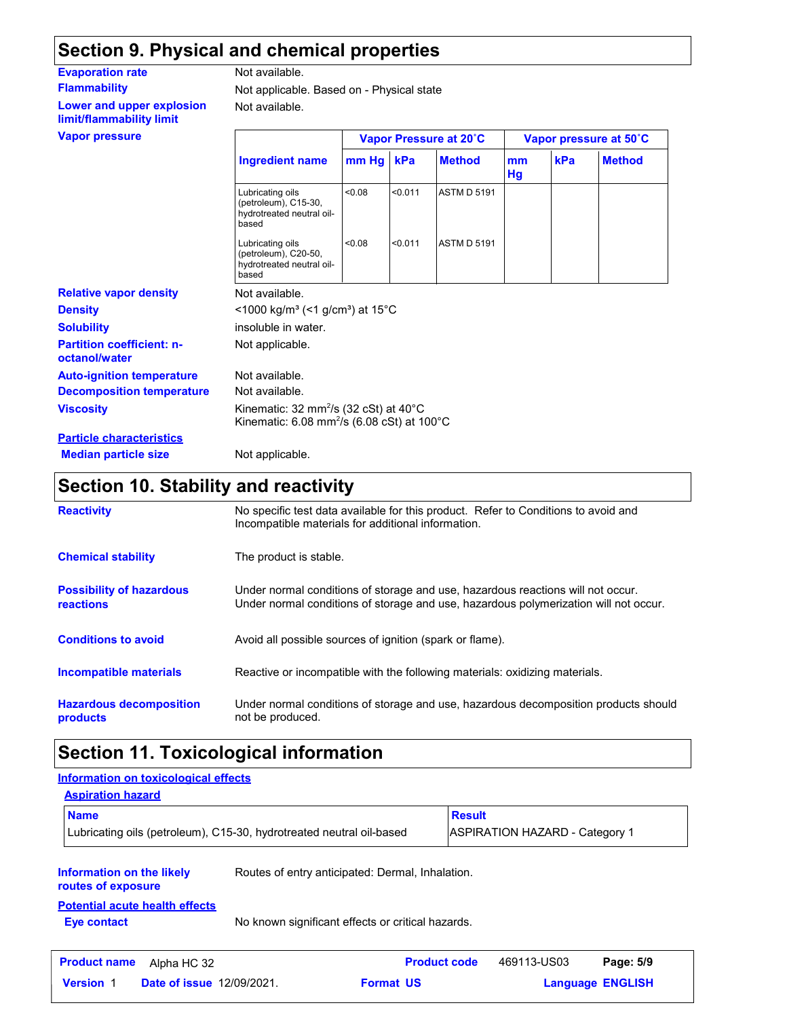### **Section 9. Physical and chemical properties**

| <b>Evaporation rate</b>                               | Not available.                                                                                                                                              |        |         |                        |                        |     |               |
|-------------------------------------------------------|-------------------------------------------------------------------------------------------------------------------------------------------------------------|--------|---------|------------------------|------------------------|-----|---------------|
| <b>Flammability</b>                                   | Not applicable. Based on - Physical state                                                                                                                   |        |         |                        |                        |     |               |
| Lower and upper explosion<br>limit/flammability limit | Not available.                                                                                                                                              |        |         |                        |                        |     |               |
| <b>Vapor pressure</b>                                 |                                                                                                                                                             |        |         | Vapor Pressure at 20°C | Vapor pressure at 50°C |     |               |
|                                                       | <b>Ingredient name</b>                                                                                                                                      | mm Hg  | kPa     | <b>Method</b>          | mm<br>Hg               | kPa | <b>Method</b> |
|                                                       | Lubricating oils<br>(petroleum), C15-30,<br>hydrotreated neutral oil-<br>based                                                                              | <0.08  | < 0.011 | <b>ASTM D 5191</b>     |                        |     |               |
|                                                       | Lubricating oils<br>(petroleum), C20-50,<br>hydrotreated neutral oil-<br>based                                                                              | < 0.08 | < 0.011 | <b>ASTM D 5191</b>     |                        |     |               |
| <b>Relative vapor density</b>                         | Not available.                                                                                                                                              |        |         |                        |                        |     |               |
| <b>Density</b>                                        | <1000 kg/m <sup>3</sup> (<1 g/cm <sup>3</sup> ) at 15 <sup>°</sup> C                                                                                        |        |         |                        |                        |     |               |
| <b>Solubility</b>                                     | insoluble in water.                                                                                                                                         |        |         |                        |                        |     |               |
| <b>Partition coefficient: n-</b><br>octanol/water     | Not applicable.                                                                                                                                             |        |         |                        |                        |     |               |
| <b>Auto-ignition temperature</b>                      | Not available.                                                                                                                                              |        |         |                        |                        |     |               |
| <b>Decomposition temperature</b>                      | Not available.                                                                                                                                              |        |         |                        |                        |     |               |
| <b>Viscosity</b>                                      | Kinematic: $32 \text{ mm}^2/\text{s}$ ( $32 \text{ cSt}$ ) at $40^{\circ}\text{C}$<br>Kinematic: $6.08$ mm <sup>2</sup> /s ( $6.08$ cSt) at $100^{\circ}$ C |        |         |                        |                        |     |               |
| <b>Particle characteristics</b>                       |                                                                                                                                                             |        |         |                        |                        |     |               |

**Particle characteristics Median particle size** Not applicable.

### **Section 10. Stability and reactivity**

| <b>Reactivity</b>                            | No specific test data available for this product. Refer to Conditions to avoid and<br>Incompatible materials for additional information.                                |
|----------------------------------------------|-------------------------------------------------------------------------------------------------------------------------------------------------------------------------|
| <b>Chemical stability</b>                    | The product is stable.                                                                                                                                                  |
| <b>Possibility of hazardous</b><br>reactions | Under normal conditions of storage and use, hazardous reactions will not occur.<br>Under normal conditions of storage and use, hazardous polymerization will not occur. |
| <b>Conditions to avoid</b>                   | Avoid all possible sources of ignition (spark or flame).                                                                                                                |
| Incompatible materials                       | Reactive or incompatible with the following materials: oxidizing materials.                                                                                             |
| <b>Hazardous decomposition</b><br>products   | Under normal conditions of storage and use, hazardous decomposition products should<br>not be produced.                                                                 |

## **Section 11. Toxicological information**

| Information on toxicological effects                                                                             |                                                                      |                     |                                       |           |  |  |  |
|------------------------------------------------------------------------------------------------------------------|----------------------------------------------------------------------|---------------------|---------------------------------------|-----------|--|--|--|
| <b>Aspiration hazard</b>                                                                                         |                                                                      |                     |                                       |           |  |  |  |
| <b>Name</b>                                                                                                      |                                                                      |                     | <b>Result</b>                         |           |  |  |  |
|                                                                                                                  | Lubricating oils (petroleum), C15-30, hydrotreated neutral oil-based |                     | <b>ASPIRATION HAZARD - Category 1</b> |           |  |  |  |
| Information on the likely<br>routes of exposure                                                                  | Routes of entry anticipated: Dermal, Inhalation.                     |                     |                                       |           |  |  |  |
| <b>Potential acute health effects</b><br>No known significant effects or critical hazards.<br><b>Eye contact</b> |                                                                      |                     |                                       |           |  |  |  |
| <b>Product name</b><br>Alpha HC 32                                                                               |                                                                      | <b>Product code</b> | 469113-US03                           | Page: 5/9 |  |  |  |
| <b>Date of issue 12/09/2021.</b><br><b>Version 1</b>                                                             | <b>Format US</b>                                                     |                     | <b>Language ENGLISH</b>               |           |  |  |  |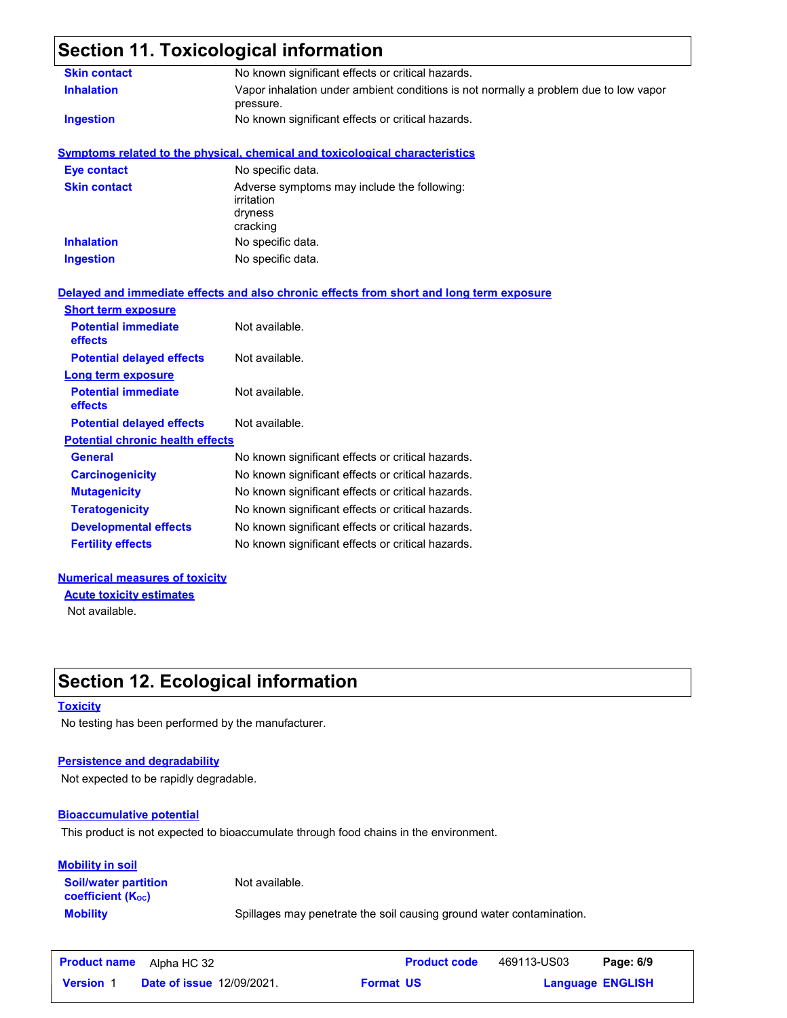### **Section 11. Toxicological information**

| <b>Skin contact</b>                     | No known significant effects or critical hazards.                                                 |
|-----------------------------------------|---------------------------------------------------------------------------------------------------|
| <b>Inhalation</b>                       | Vapor inhalation under ambient conditions is not normally a problem due to low vapor<br>pressure. |
| <b>Ingestion</b>                        | No known significant effects or critical hazards.                                                 |
|                                         | <b>Symptoms related to the physical, chemical and toxicological characteristics</b>               |
| <b>Eye contact</b>                      | No specific data.                                                                                 |
| <b>Skin contact</b>                     | Adverse symptoms may include the following:<br>irritation<br>dryness<br>cracking                  |
| <b>Inhalation</b>                       | No specific data.                                                                                 |
| <b>Ingestion</b>                        | No specific data.                                                                                 |
|                                         | Delayed and immediate effects and also chronic effects from short and long term exposure          |
| <b>Short term exposure</b>              |                                                                                                   |
| <b>Potential immediate</b><br>effects   | Not available.                                                                                    |
| <b>Potential delayed effects</b>        | Not available.                                                                                    |
| Long term exposure                      |                                                                                                   |
| <b>Potential immediate</b><br>effects   | Not available.                                                                                    |
| <b>Potential delayed effects</b>        | Not available.                                                                                    |
| <b>Potential chronic health effects</b> |                                                                                                   |
| <b>General</b>                          | No known significant effects or critical hazards.                                                 |
| <b>Carcinogenicity</b>                  | No known significant effects or critical hazards.                                                 |
| <b>Mutagenicity</b>                     | No known significant effects or critical hazards.                                                 |
| <b>Teratogenicity</b>                   | No known significant effects or critical hazards.                                                 |
| <b>Developmental effects</b>            | No known significant effects or critical hazards.                                                 |
| <b>Fertility effects</b>                | No known significant effects or critical hazards.                                                 |
|                                         |                                                                                                   |

#### **Numerical measures of toxicity**

Not available. **Acute toxicity estimates**

### **Section 12. Ecological information**

#### **Toxicity**

No testing has been performed by the manufacturer.

#### **Persistence and degradability**

Not expected to be rapidly degradable.

#### **Bioaccumulative potential**

This product is not expected to bioaccumulate through food chains in the environment.

#### **Mobility in soil**

**Soil/water partition coefficient (Koc)** 

Not available.

**Mobility** Spillages may penetrate the soil causing ground water contamination.

|                  | <b>Product name</b> Alpha HC 32  | <b>Product code</b> | 469113-US03             | Page: 6/9 |
|------------------|----------------------------------|---------------------|-------------------------|-----------|
| <b>Version 1</b> | <b>Date of issue 12/09/2021.</b> | <b>Format US</b>    | <b>Language ENGLISH</b> |           |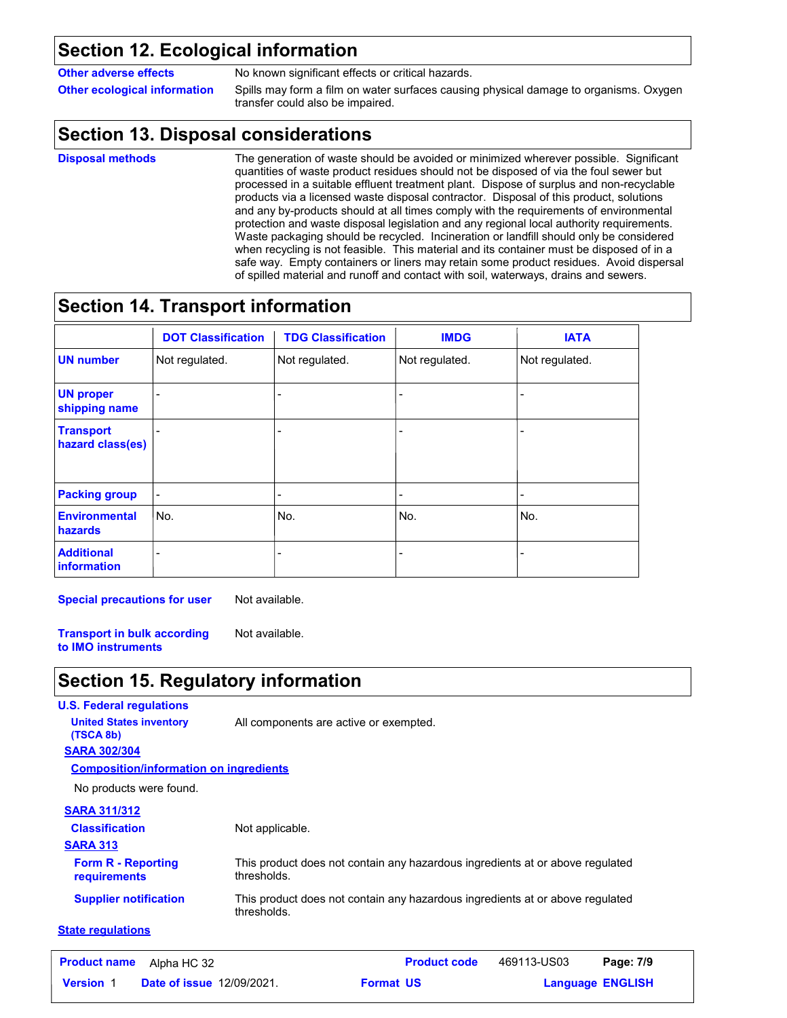#### **Section 12. Ecological information**

**Other adverse effects** No known significant effects or critical hazards.

**Other ecological information** Spills may form a film on water surfaces causing physical damage to organisms. Oxygen transfer could also be impaired.

### **Section 13. Disposal considerations**

**Disposal methods**

The generation of waste should be avoided or minimized wherever possible. Significant quantities of waste product residues should not be disposed of via the foul sewer but processed in a suitable effluent treatment plant. Dispose of surplus and non-recyclable products via a licensed waste disposal contractor. Disposal of this product, solutions and any by-products should at all times comply with the requirements of environmental protection and waste disposal legislation and any regional local authority requirements. Waste packaging should be recycled. Incineration or landfill should only be considered when recycling is not feasible. This material and its container must be disposed of in a safe way. Empty containers or liners may retain some product residues. Avoid dispersal of spilled material and runoff and contact with soil, waterways, drains and sewers.

### **Section 14. Transport information**

|                                      | <b>DOT Classification</b> | <b>TDG Classification</b> | <b>IMDG</b>    | <b>IATA</b>    |
|--------------------------------------|---------------------------|---------------------------|----------------|----------------|
| <b>UN number</b>                     | Not regulated.            | Not regulated.            | Not regulated. | Not regulated. |
| <b>UN proper</b><br>shipping name    |                           | $\overline{a}$            |                |                |
| <b>Transport</b><br>hazard class(es) |                           |                           |                |                |
| <b>Packing group</b>                 | $\overline{a}$            | -                         | $\overline{a}$ |                |
| <b>Environmental</b><br>hazards      | No.                       | No.                       | No.            | No.            |
| <b>Additional</b><br>information     |                           |                           |                |                |

**Special precautions for user** Not available.

**Transport in bulk according to IMO instruments** Not available.

### **Section 15. Regulatory information**

#### **U.S. Federal regulations SARA 313** This product does not contain any hazardous ingredients at or above regulated thresholds. This product does not contain any hazardous ingredients at or above regulated thresholds. **Form R - Reporting requirements Supplier notification State regulations SARA 302/304** No products were found. **Composition/information on ingredients SARA 311/312 Classification United States inventory** All components are active or exempted. **(TSCA 8b)** Not applicable.

| <b>Product name</b> | Alpha HC 32                      | <b>Product code</b> | 469113-US03 | Page: 7/9               |  |
|---------------------|----------------------------------|---------------------|-------------|-------------------------|--|
| <b>Version</b>      | <b>Date of issue 12/09/2021.</b> | <b>Format US</b>    |             | <b>Language ENGLISH</b> |  |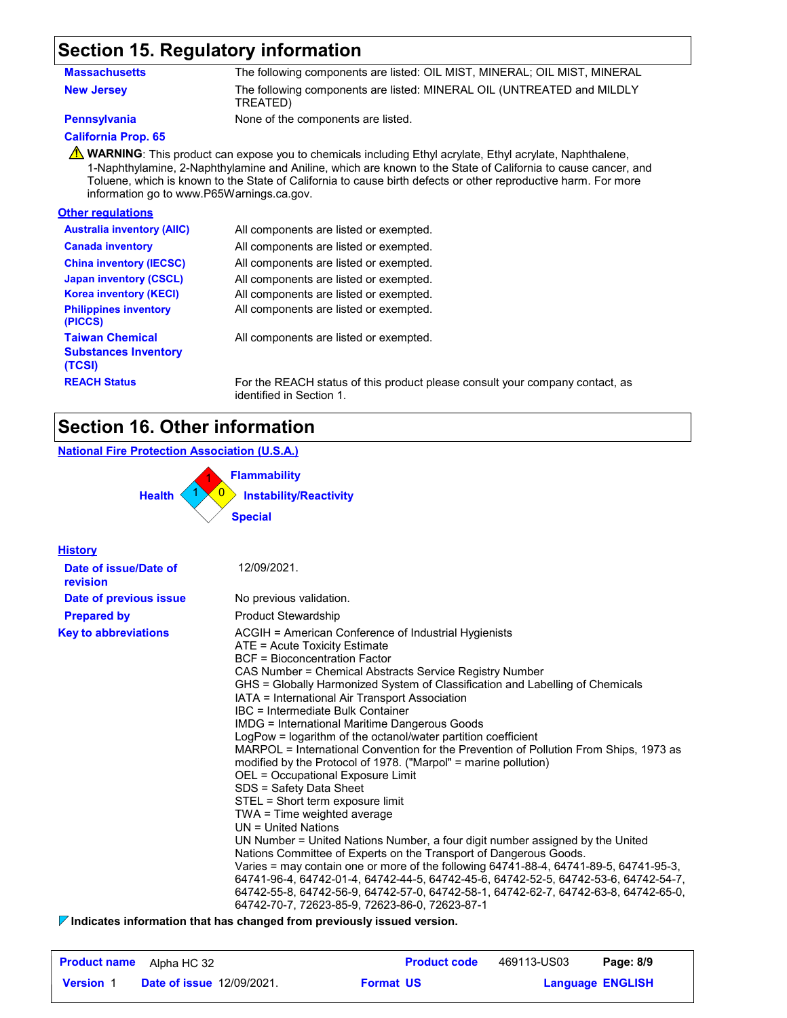### **Section 15. Regulatory information**

| Massachusetts     | The following components are listed: OIL MIST, MINERAL; OIL MIST, MINERAL          |
|-------------------|------------------------------------------------------------------------------------|
| <b>New Jersey</b> | The following components are listed: MINERAL OIL (UNTREATED and MILDLY<br>TREATED) |

**Pennsylvania** None of the components are listed.

#### **California Prop. 65**

**A** WARNING: This product can expose you to chemicals including Ethyl acrylate, Ethyl acrylate, Naphthalene, 1-Naphthylamine, 2-Naphthylamine and Aniline, which are known to the State of California to cause cancer, and Toluene, which is known to the State of California to cause birth defects or other reproductive harm. For more information go to www.P65Warnings.ca.gov.

#### **Other regulations**

| <b>Australia inventory (AIIC)</b>                               | All components are listed or exempted.      |
|-----------------------------------------------------------------|---------------------------------------------|
| <b>Canada inventory</b>                                         | All components are listed or exempted.      |
| <b>China inventory (IECSC)</b>                                  | All components are listed or exempted.      |
| <b>Japan inventory (CSCL)</b>                                   | All components are listed or exempted.      |
| <b>Korea inventory (KECI)</b>                                   | All components are listed or exempted.      |
| <b>Philippines inventory</b><br>(PICCS)                         | All components are listed or exempted.      |
| <b>Taiwan Chemical</b><br><b>Substances Inventory</b><br>(TCSI) | All components are listed or exempted.      |
| <b>REACH Status</b>                                             | For the REACH status of this product please |

ase consult your company contact, as identified in Section 1.

### **Section 16. Other information**

#### **National Fire Protection Association (U.S.A.)**

0 **Instability/Reactivity** 1 **Flammability** 1 0 1 **Health Special**

| <b>History</b>                    |                                                                                                                                                                                                                                                                                                                                                                                                                                                                                                                                                                                                                                                                                                                                                                                                                                                                                                                                                                                                                                                                                                                                                                                                                                                                                    |
|-----------------------------------|------------------------------------------------------------------------------------------------------------------------------------------------------------------------------------------------------------------------------------------------------------------------------------------------------------------------------------------------------------------------------------------------------------------------------------------------------------------------------------------------------------------------------------------------------------------------------------------------------------------------------------------------------------------------------------------------------------------------------------------------------------------------------------------------------------------------------------------------------------------------------------------------------------------------------------------------------------------------------------------------------------------------------------------------------------------------------------------------------------------------------------------------------------------------------------------------------------------------------------------------------------------------------------|
| Date of issue/Date of<br>revision | 12/09/2021.                                                                                                                                                                                                                                                                                                                                                                                                                                                                                                                                                                                                                                                                                                                                                                                                                                                                                                                                                                                                                                                                                                                                                                                                                                                                        |
| Date of previous issue            | No previous validation.                                                                                                                                                                                                                                                                                                                                                                                                                                                                                                                                                                                                                                                                                                                                                                                                                                                                                                                                                                                                                                                                                                                                                                                                                                                            |
| <b>Prepared by</b>                | <b>Product Stewardship</b>                                                                                                                                                                                                                                                                                                                                                                                                                                                                                                                                                                                                                                                                                                                                                                                                                                                                                                                                                                                                                                                                                                                                                                                                                                                         |
| <b>Key to abbreviations</b>       | ACGIH = American Conference of Industrial Hygienists<br>ATE = Acute Toxicity Estimate<br>BCF = Bioconcentration Factor<br>CAS Number = Chemical Abstracts Service Registry Number<br>GHS = Globally Harmonized System of Classification and Labelling of Chemicals<br>IATA = International Air Transport Association<br>IBC = Intermediate Bulk Container<br>IMDG = International Maritime Dangerous Goods<br>LogPow = logarithm of the octanol/water partition coefficient<br>MARPOL = International Convention for the Prevention of Pollution From Ships, 1973 as<br>modified by the Protocol of 1978. ("Marpol" = marine pollution)<br>OEL = Occupational Exposure Limit<br>SDS = Safety Data Sheet<br>STEL = Short term exposure limit<br>TWA = Time weighted average<br>$UN = United Nations$<br>UN Number = United Nations Number, a four digit number assigned by the United<br>Nations Committee of Experts on the Transport of Dangerous Goods.<br>Varies = may contain one or more of the following 64741-88-4, 64741-89-5, 64741-95-3,<br>64741-96-4, 64742-01-4, 64742-44-5, 64742-45-6, 64742-52-5, 64742-53-6, 64742-54-7,<br>64742-55-8, 64742-56-9, 64742-57-0, 64742-58-1, 64742-62-7, 64742-63-8, 64742-65-0,<br>64742-70-7, 72623-85-9, 72623-86-0, 72623-87-1 |

**Indicates information that has changed from previously issued version.**

| <b>Product name</b> | Alpha HC 32                      |                  | <b>Product code</b> | 469113-US03             | Page: 8/9 |
|---------------------|----------------------------------|------------------|---------------------|-------------------------|-----------|
| <b>Version 1</b>    | <b>Date of issue 12/09/2021.</b> | <b>Format US</b> |                     | <b>Language ENGLISH</b> |           |